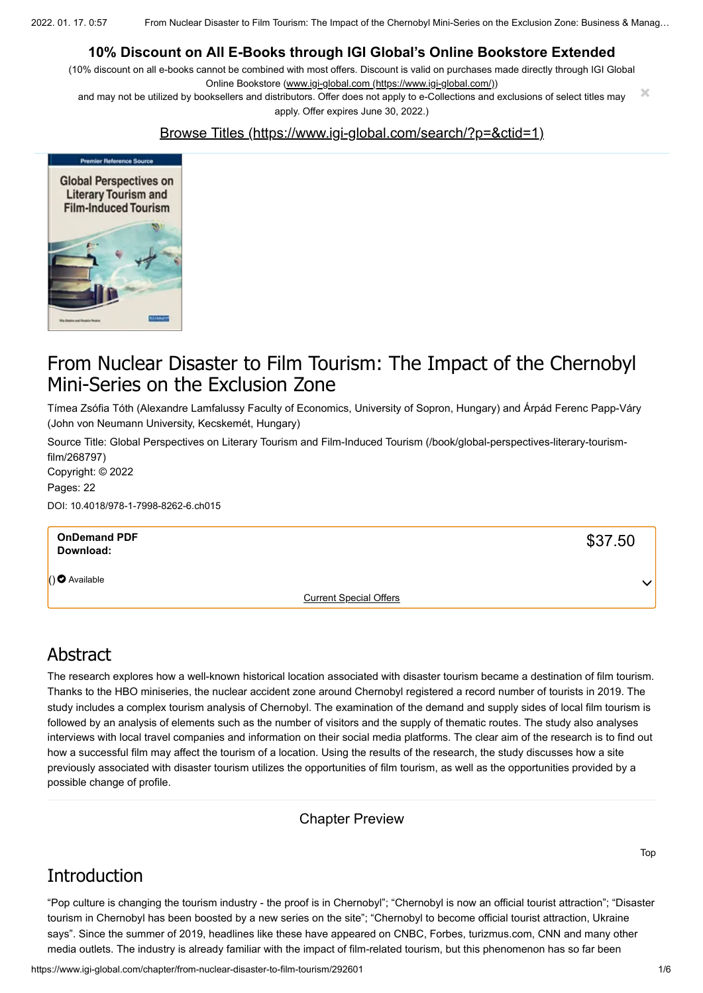2022. 01. 17. 0:57 From Nuclear Disaster to Film Tourism: The Impact of the Chernobyl Mini-Series on the Exclusion Zone: Business & Manag…

### **10% Discount on All E-Books through IGI Global's Online Bookstore Extended**

(10% discount on all e-books cannot be combined with most offers. Discount is valid on purchases made directly through IGI Global Online Bookstore ([www.igi-global.com \(https://www.igi-global.com/\)\)](https://www.igi-global.com/)

and may not be utilized by booksellers and distributors. Offer does not apply to e-Collections and exclusions of select titles may apply. Offer expires June 30, 2022.) **×**

#### [Browse Titles \(https://www.igi-global.com/search/?p=&ctid=1\)](https://www.igi-global.com/search/?p=&ctid=1)



## From Nuclear Disaster to Film Tourism: The Impact of the Chernobyl Mini-Series on the Exclusion Zone

Tímea Zsófia Tóth (Alexandre Lamfalussy Faculty of Economics, University of Sopron, Hungary) and Árpád Ferenc Papp-Váry (John von Neumann University, Kecskemét, Hungary)

[Source Title: Global Perspectives on Literary Tourism and Film-Induced Tourism \(/book/global-perspectives-literary-tourism](https://www.igi-global.com/book/global-perspectives-literary-tourism-film/268797)film/268797) Copyright: © 2022 Pages: 22

DOI: 10.4018/978-1-7998-8262-6.ch015

| <b>OnDemand PDF</b><br>Download: |                               | \$37.50      |
|----------------------------------|-------------------------------|--------------|
| $()$ Available                   |                               | $\checkmark$ |
|                                  | <b>Current Special Offers</b> |              |

### Abstract

The research explores how a well-known historical location associated with disaster tourism became a destination of film tourism. Thanks to the HBO miniseries, the nuclear accident zone around Chernobyl registered a record number of tourists in 2019. The study includes a complex tourism analysis of Chernobyl. The examination of the demand and supply sides of local film tourism is followed by an analysis of elements such as the number of visitors and the supply of thematic routes. The study also analyses interviews with local travel companies and information on their social media platforms. The clear aim of the research is to find out how a successful film may affect the tourism of a location. Using the results of the research, the study discusses how a site previously associated with disaster tourism utilizes the opportunities of film tourism, as well as the opportunities provided by a possible change of profile.

Chapter Preview

## Introduction

"Pop culture is changing the tourism industry - the proof is in Chernobyl"; "Chernobyl is now an official tourist attraction"; "Disaster tourism in Chernobyl has been boosted by a new series on the site"; "Chernobyl to become official tourist attraction, Ukraine says". Since the summer of 2019, headlines like these have appeared on CNBC, Forbes, turizmus.com, CNN and many other media outlets. The industry is already familiar with the impact of film-related tourism, but this phenomenon has so far been

Top